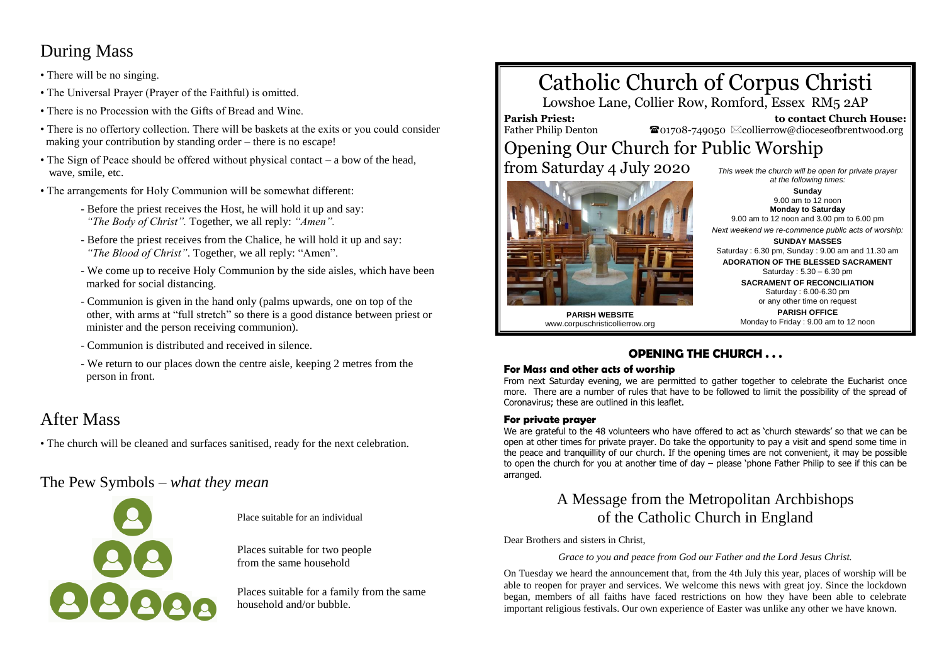## During Mass

- There will be no singing.
- The Universal Prayer (Prayer of the Faithful) is omitted.
- There is no Procession with the Gifts of Bread and Wine.
- There is no offertory collection. There will be baskets at the exits or you could consider making your contribution by standing order – there is no escape!
- The Sign of Peace should be offered without physical contact a bow of the head, wave, smile, etc.
- The arrangements for Holy Communion will be somewhat different:
	- Before the priest receives the Host, he will hold it up and say:  *"The Body of Christ".* Together, we all reply: *"Amen".*
	- Before the priest receives from the Chalice, he will hold it up and say:  *"The Blood of Christ"*. Together, we all reply: "Amen".
	- We come up to receive Holy Communion by the side aisles, which have been marked for social distancing.
	- Communion is given in the hand only (palms upwards, one on top of the other, with arms at "full stretch" so there is a good distance between priest or minister and the person receiving communion).
	- Communion is distributed and received in silence.
	- We return to our places down the centre aisle, keeping 2 metres from the person in front.

## After Mass

• The church will be cleaned and surfaces sanitised, ready for the next celebration.

The Pew Symbols – *what they mean*



Place suitable for an individual

Places suitable for two people from the same household

Places suitable for a family from the same household and/or bubble.

# Catholic Church of Corpus Christi

Lowshoe Lane, Collier Row, Romford, Essex RM5 2AP

**Parish Priest:** Father Philip Denton

 **to contact Church House:**  $\bullet$ 01708-749050  $\boxtimes$ collierrow@dioceseofbrentwood.org

# Opening Our Church for Public Worship

from Saturday 4 July 2020



**Sunday** 9.00 am to 12 noon **Monday to Saturday** 9.00 am to 12 noon and 3.00 pm to 6.00 pm *Next weekend we re-commence public acts of worship:* **SUNDAY MASSES** Saturday : 6.30 pm, Sunday : 9.00 am and 11.30 am **ADORATION OF THE BLESSED SACRAMENT** Saturday : 5.30 – 6.30 pm **SACRAMENT OF RECONCILIATION** Saturday : 6.00-6.30 pm or any other time on request

*This week the church will be open for private prayer at the following times:*

**PARISH WEBSITE** www.corpuschristicollierrow.org

#### **PARISH OFFICE** Monday to Friday : 9.00 am to 12 noon

### **OPENING THE CHURCH . . .**

#### **For Mass and other acts of worship**

From next Saturday evening, we are permitted to gather together to celebrate the Eucharist once more. There are a number of rules that have to be followed to limit the possibility of the spread of Coronavirus; these are outlined in this leaflet.

#### **For private prayer**

We are grateful to the 48 volunteers who have offered to act as 'church stewards' so that we can be open at other times for private prayer. Do take the opportunity to pay a visit and spend some time in the peace and tranquillity of our church. If the opening times are not convenient, it may be possible to open the church for you at another time of day – please 'phone Father Philip to see if this can be arranged.

## A Message from the Metropolitan Archbishops of the Catholic Church in England

Dear Brothers and sisters in Christ,

*Grace to you and peace from God our Father and the Lord Jesus Christ.*

On Tuesday we heard the announcement that, from the 4th July this year, places of worship will be able to reopen for prayer and services. We welcome this news with great joy. Since the lockdown began, members of all faiths have faced restrictions on how they have been able to celebrate important religious festivals. Our own experience of Easter was unlike any other we have known.